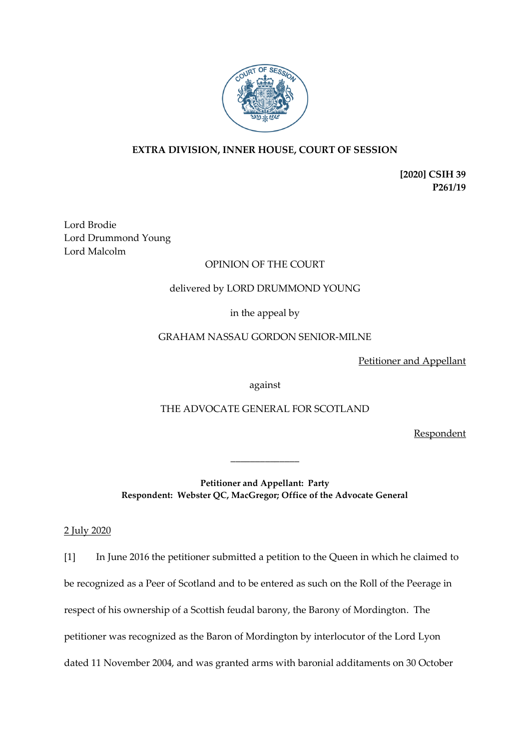

# **EXTRA DIVISION, INNER HOUSE, COURT OF SESSION**

**[2020] CSIH 39 P261/19**

Lord Brodie Lord Drummond Young Lord Malcolm

# OPINION OF THE COURT

# delivered by LORD DRUMMOND YOUNG

in the appeal by

# GRAHAM NASSAU GORDON SENIOR-MILNE

Petitioner and Appellant

against

THE ADVOCATE GENERAL FOR SCOTLAND

Respondent

**Petitioner and Appellant: Party Respondent: Webster QC, MacGregor; Office of the Advocate General**

\_\_\_\_\_\_\_\_\_\_\_\_\_\_

2 July 2020

[1] In June 2016 the petitioner submitted a petition to the Queen in which he claimed to be recognized as a Peer of Scotland and to be entered as such on the Roll of the Peerage in respect of his ownership of a Scottish feudal barony, the Barony of Mordington. The petitioner was recognized as the Baron of Mordington by interlocutor of the Lord Lyon dated 11 November 2004, and was granted arms with baronial additaments on 30 October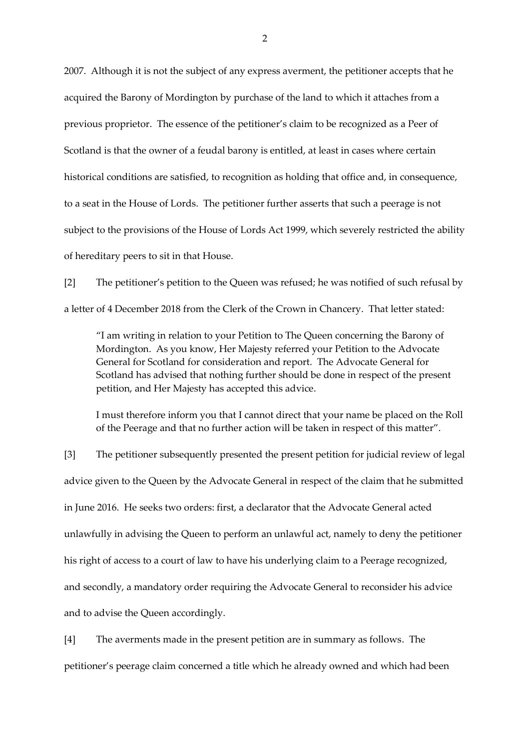2007. Although it is not the subject of any express averment, the petitioner accepts that he acquired the Barony of Mordington by purchase of the land to which it attaches from a previous proprietor. The essence of the petitioner's claim to be recognized as a Peer of Scotland is that the owner of a feudal barony is entitled, at least in cases where certain historical conditions are satisfied, to recognition as holding that office and, in consequence, to a seat in the House of Lords. The petitioner further asserts that such a peerage is not subject to the provisions of the House of Lords Act 1999, which severely restricted the ability of hereditary peers to sit in that House.

[2] The petitioner's petition to the Queen was refused; he was notified of such refusal by a letter of 4 December 2018 from the Clerk of the Crown in Chancery. That letter stated:

"I am writing in relation to your Petition to The Queen concerning the Barony of Mordington. As you know, Her Majesty referred your Petition to the Advocate General for Scotland for consideration and report. The Advocate General for Scotland has advised that nothing further should be done in respect of the present petition, and Her Majesty has accepted this advice.

I must therefore inform you that I cannot direct that your name be placed on the Roll of the Peerage and that no further action will be taken in respect of this matter".

[3] The petitioner subsequently presented the present petition for judicial review of legal advice given to the Queen by the Advocate General in respect of the claim that he submitted in June 2016. He seeks two orders: first, a declarator that the Advocate General acted unlawfully in advising the Queen to perform an unlawful act, namely to deny the petitioner his right of access to a court of law to have his underlying claim to a Peerage recognized, and secondly, a mandatory order requiring the Advocate General to reconsider his advice and to advise the Queen accordingly.

[4] The averments made in the present petition are in summary as follows. The petitioner's peerage claim concerned a title which he already owned and which had been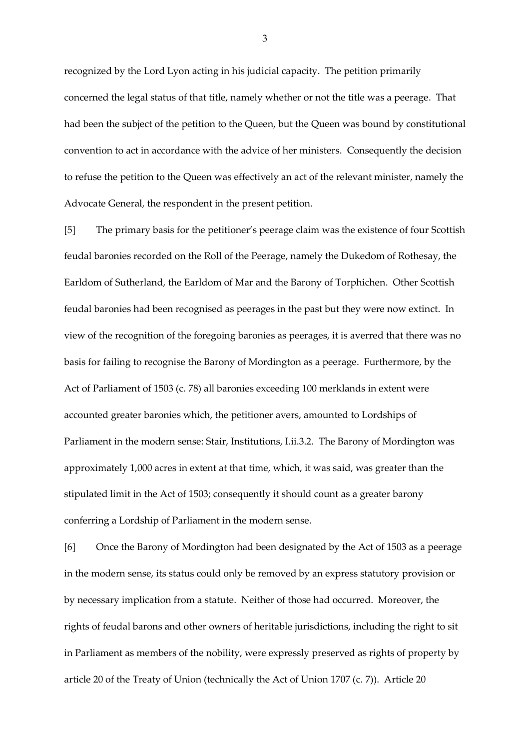recognized by the Lord Lyon acting in his judicial capacity. The petition primarily concerned the legal status of that title, namely whether or not the title was a peerage. That had been the subject of the petition to the Queen, but the Queen was bound by constitutional convention to act in accordance with the advice of her ministers. Consequently the decision to refuse the petition to the Queen was effectively an act of the relevant minister, namely the Advocate General, the respondent in the present petition.

[5] The primary basis for the petitioner's peerage claim was the existence of four Scottish feudal baronies recorded on the Roll of the Peerage, namely the Dukedom of Rothesay, the Earldom of Sutherland, the Earldom of Mar and the Barony of Torphichen. Other Scottish feudal baronies had been recognised as peerages in the past but they were now extinct. In view of the recognition of the foregoing baronies as peerages, it is averred that there was no basis for failing to recognise the Barony of Mordington as a peerage. Furthermore, by the Act of Parliament of 1503 (c. 78) all baronies exceeding 100 merklands in extent were accounted greater baronies which, the petitioner avers, amounted to Lordships of Parliament in the modern sense: Stair, Institutions, I.ii.3.2. The Barony of Mordington was approximately 1,000 acres in extent at that time, which, it was said, was greater than the stipulated limit in the Act of 1503; consequently it should count as a greater barony conferring a Lordship of Parliament in the modern sense.

[6] Once the Barony of Mordington had been designated by the Act of 1503 as a peerage in the modern sense, its status could only be removed by an express statutory provision or by necessary implication from a statute. Neither of those had occurred. Moreover, the rights of feudal barons and other owners of heritable jurisdictions, including the right to sit in Parliament as members of the nobility, were expressly preserved as rights of property by article 20 of the Treaty of Union (technically the Act of Union 1707 (c. 7)). Article 20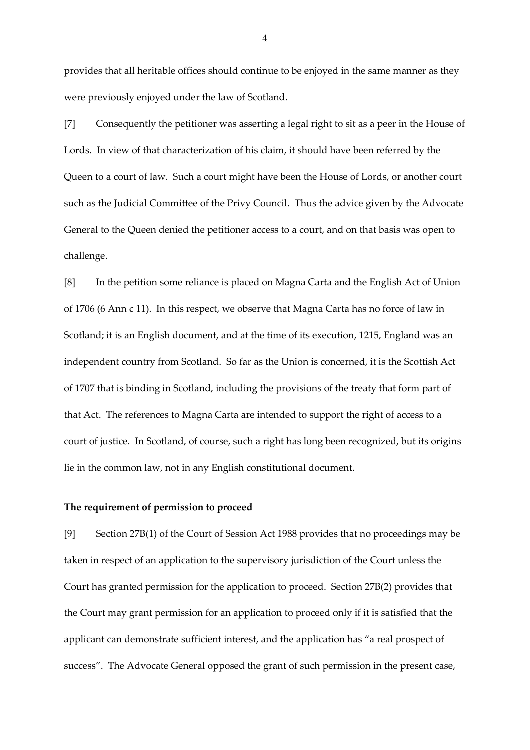provides that all heritable offices should continue to be enjoyed in the same manner as they were previously enjoyed under the law of Scotland.

[7] Consequently the petitioner was asserting a legal right to sit as a peer in the House of Lords. In view of that characterization of his claim, it should have been referred by the Queen to a court of law. Such a court might have been the House of Lords, or another court such as the Judicial Committee of the Privy Council. Thus the advice given by the Advocate General to the Queen denied the petitioner access to a court, and on that basis was open to challenge.

[8] In the petition some reliance is placed on Magna Carta and the English Act of Union of 1706 (6 Ann c 11). In this respect, we observe that Magna Carta has no force of law in Scotland; it is an English document, and at the time of its execution, 1215, England was an independent country from Scotland. So far as the Union is concerned, it is the Scottish Act of 1707 that is binding in Scotland, including the provisions of the treaty that form part of that Act. The references to Magna Carta are intended to support the right of access to a court of justice. In Scotland, of course, such a right has long been recognized, but its origins lie in the common law, not in any English constitutional document.

#### **The requirement of permission to proceed**

[9] Section 27B(1) of the Court of Session Act 1988 provides that no proceedings may be taken in respect of an application to the supervisory jurisdiction of the Court unless the Court has granted permission for the application to proceed. Section 27B(2) provides that the Court may grant permission for an application to proceed only if it is satisfied that the applicant can demonstrate sufficient interest, and the application has "a real prospect of success". The Advocate General opposed the grant of such permission in the present case,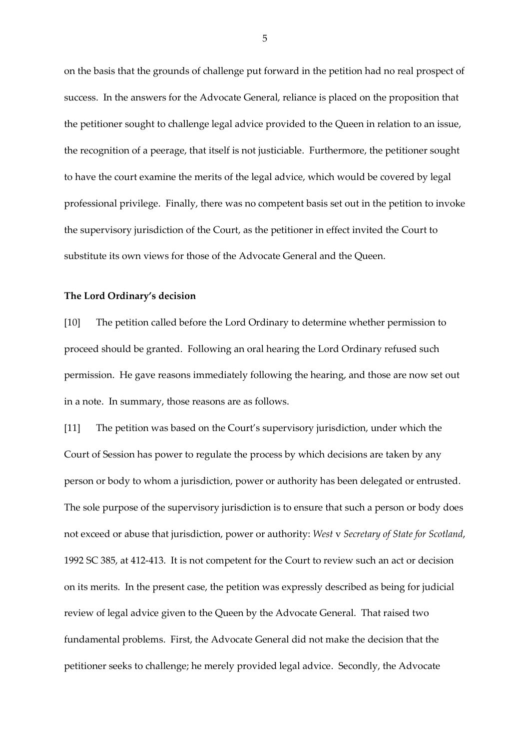on the basis that the grounds of challenge put forward in the petition had no real prospect of success. In the answers for the Advocate General, reliance is placed on the proposition that the petitioner sought to challenge legal advice provided to the Queen in relation to an issue, the recognition of a peerage, that itself is not justiciable. Furthermore, the petitioner sought to have the court examine the merits of the legal advice, which would be covered by legal professional privilege. Finally, there was no competent basis set out in the petition to invoke the supervisory jurisdiction of the Court, as the petitioner in effect invited the Court to substitute its own views for those of the Advocate General and the Queen.

#### **The Lord Ordinary's decision**

[10] The petition called before the Lord Ordinary to determine whether permission to proceed should be granted. Following an oral hearing the Lord Ordinary refused such permission. He gave reasons immediately following the hearing, and those are now set out in a note. In summary, those reasons are as follows.

[11] The petition was based on the Court's supervisory jurisdiction, under which the Court of Session has power to regulate the process by which decisions are taken by any person or body to whom a jurisdiction, power or authority has been delegated or entrusted. The sole purpose of the supervisory jurisdiction is to ensure that such a person or body does not exceed or abuse that jurisdiction, power or authority: *West* v *Secretary of State for Scotland*, 1992 SC 385, at 412-413. It is not competent for the Court to review such an act or decision on its merits. In the present case, the petition was expressly described as being for judicial review of legal advice given to the Queen by the Advocate General. That raised two fundamental problems. First, the Advocate General did not make the decision that the petitioner seeks to challenge; he merely provided legal advice. Secondly, the Advocate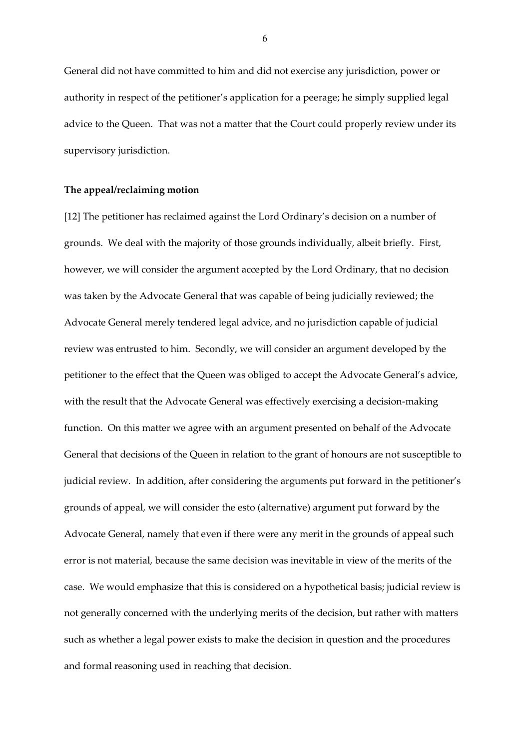General did not have committed to him and did not exercise any jurisdiction, power or authority in respect of the petitioner's application for a peerage; he simply supplied legal advice to the Queen. That was not a matter that the Court could properly review under its supervisory jurisdiction.

### **The appeal/reclaiming motion**

[12] The petitioner has reclaimed against the Lord Ordinary's decision on a number of grounds. We deal with the majority of those grounds individually, albeit briefly. First, however, we will consider the argument accepted by the Lord Ordinary, that no decision was taken by the Advocate General that was capable of being judicially reviewed; the Advocate General merely tendered legal advice, and no jurisdiction capable of judicial review was entrusted to him. Secondly, we will consider an argument developed by the petitioner to the effect that the Queen was obliged to accept the Advocate General's advice, with the result that the Advocate General was effectively exercising a decision-making function. On this matter we agree with an argument presented on behalf of the Advocate General that decisions of the Queen in relation to the grant of honours are not susceptible to judicial review. In addition, after considering the arguments put forward in the petitioner's grounds of appeal, we will consider the esto (alternative) argument put forward by the Advocate General, namely that even if there were any merit in the grounds of appeal such error is not material, because the same decision was inevitable in view of the merits of the case. We would emphasize that this is considered on a hypothetical basis; judicial review is not generally concerned with the underlying merits of the decision, but rather with matters such as whether a legal power exists to make the decision in question and the procedures and formal reasoning used in reaching that decision.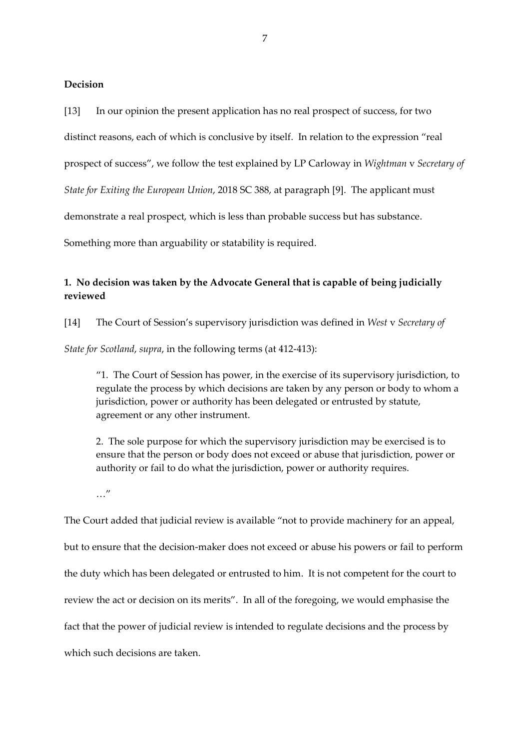## **Decision**

[13] In our opinion the present application has no real prospect of success, for two distinct reasons, each of which is conclusive by itself. In relation to the expression "real prospect of success", we follow the test explained by LP Carloway in *Wightman* v *Secretary of State for Exiting the European Union*, 2018 SC 388, at paragraph [9]. The applicant must demonstrate a real prospect, which is less than probable success but has substance. Something more than arguability or statability is required.

# **1. No decision was taken by the Advocate General that is capable of being judicially reviewed**

[14] The Court of Session's supervisory jurisdiction was defined in *West* v *Secretary of* 

*State for Scotland*, *supra*, in the following terms (at 412-413):

"1. The Court of Session has power, in the exercise of its supervisory jurisdiction, to regulate the process by which decisions are taken by any person or body to whom a jurisdiction, power or authority has been delegated or entrusted by statute, agreement or any other instrument.

2. The sole purpose for which the supervisory jurisdiction may be exercised is to ensure that the person or body does not exceed or abuse that jurisdiction, power or authority or fail to do what the jurisdiction, power or authority requires.

…"

The Court added that judicial review is available "not to provide machinery for an appeal, but to ensure that the decision-maker does not exceed or abuse his powers or fail to perform the duty which has been delegated or entrusted to him. It is not competent for the court to review the act or decision on its merits". In all of the foregoing, we would emphasise the fact that the power of judicial review is intended to regulate decisions and the process by which such decisions are taken.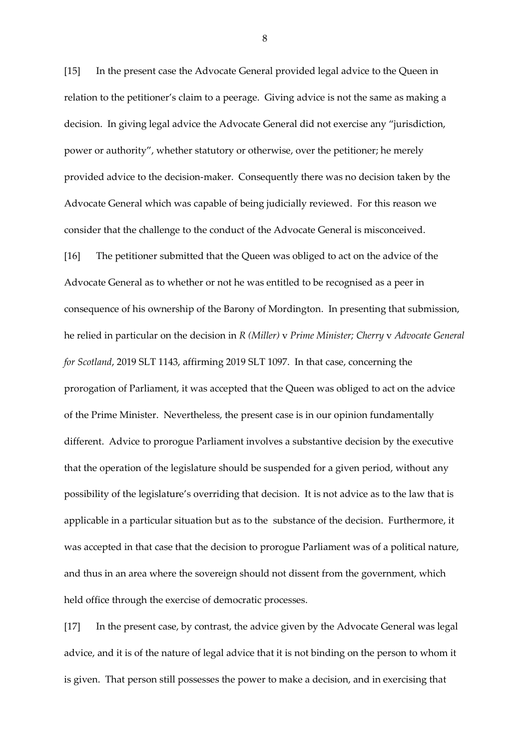[15] In the present case the Advocate General provided legal advice to the Queen in relation to the petitioner's claim to a peerage. Giving advice is not the same as making a decision. In giving legal advice the Advocate General did not exercise any "jurisdiction, power or authority", whether statutory or otherwise, over the petitioner; he merely provided advice to the decision-maker. Consequently there was no decision taken by the Advocate General which was capable of being judicially reviewed. For this reason we consider that the challenge to the conduct of the Advocate General is misconceived.

[16] The petitioner submitted that the Queen was obliged to act on the advice of the Advocate General as to whether or not he was entitled to be recognised as a peer in consequence of his ownership of the Barony of Mordington. In presenting that submission, he relied in particular on the decision in *R (Miller)* v *Prime Minister; Cherry* v *Advocate General for Scotland*, 2019 SLT 1143, affirming 2019 SLT 1097. In that case, concerning the prorogation of Parliament, it was accepted that the Queen was obliged to act on the advice of the Prime Minister. Nevertheless, the present case is in our opinion fundamentally different. Advice to prorogue Parliament involves a substantive decision by the executive that the operation of the legislature should be suspended for a given period, without any possibility of the legislature's overriding that decision. It is not advice as to the law that is applicable in a particular situation but as to the substance of the decision. Furthermore, it was accepted in that case that the decision to prorogue Parliament was of a political nature, and thus in an area where the sovereign should not dissent from the government, which held office through the exercise of democratic processes.

[17] In the present case, by contrast, the advice given by the Advocate General was legal advice, and it is of the nature of legal advice that it is not binding on the person to whom it is given. That person still possesses the power to make a decision, and in exercising that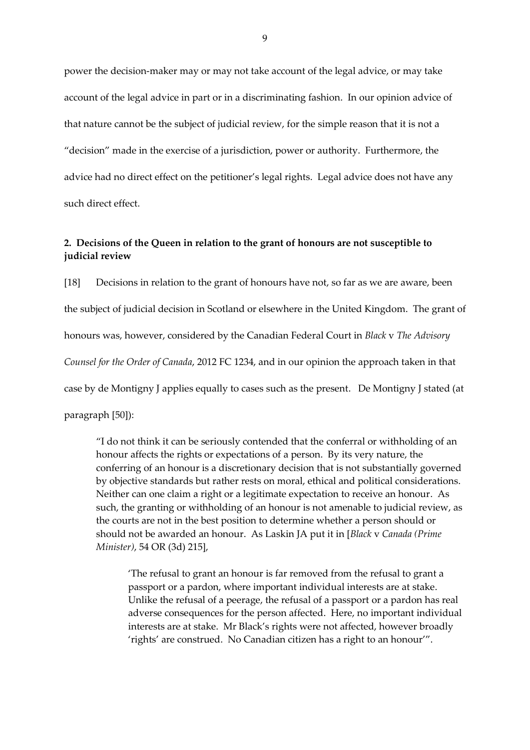power the decision-maker may or may not take account of the legal advice, or may take account of the legal advice in part or in a discriminating fashion. In our opinion advice of that nature cannot be the subject of judicial review, for the simple reason that it is not a "decision" made in the exercise of a jurisdiction, power or authority. Furthermore, the advice had no direct effect on the petitioner's legal rights. Legal advice does not have any such direct effect.

# **2. Decisions of the Queen in relation to the grant of honours are not susceptible to judicial review**

[18] Decisions in relation to the grant of honours have not, so far as we are aware, been the subject of judicial decision in Scotland or elsewhere in the United Kingdom. The grant of honours was, however, considered by the Canadian Federal Court in *Black* v *The Advisory Counsel for the Order of Canada*, 2012 FC 1234, and in our opinion the approach taken in that case by de Montigny J applies equally to cases such as the present. De Montigny J stated (at paragraph [50]):

"I do not think it can be seriously contended that the conferral or withholding of an honour affects the rights or expectations of a person. By its very nature, the conferring of an honour is a discretionary decision that is not substantially governed by objective standards but rather rests on moral, ethical and political considerations. Neither can one claim a right or a legitimate expectation to receive an honour. As such, the granting or withholding of an honour is not amenable to judicial review, as the courts are not in the best position to determine whether a person should or should not be awarded an honour. As Laskin JA put it in [*Black* v *Canada (Prime Minister)*, 54 OR (3d) 215],

'The refusal to grant an honour is far removed from the refusal to grant a passport or a pardon, where important individual interests are at stake. Unlike the refusal of a peerage, the refusal of a passport or a pardon has real adverse consequences for the person affected. Here, no important individual interests are at stake. Mr Black's rights were not affected, however broadly 'rights' are construed. No Canadian citizen has a right to an honour'".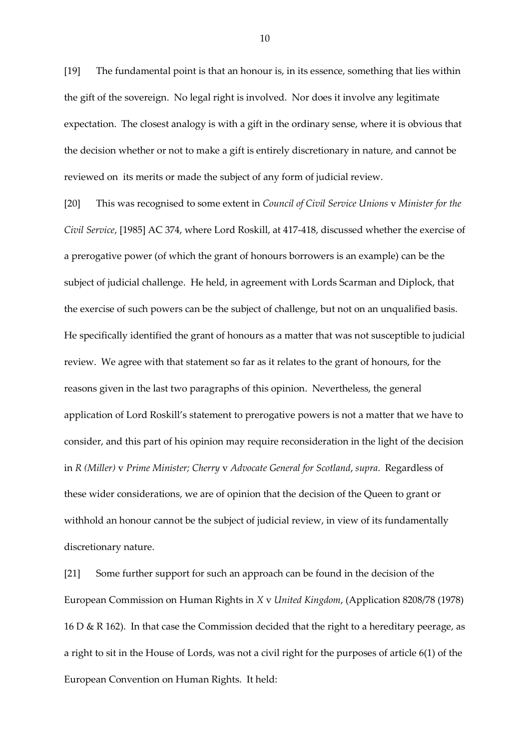[19] The fundamental point is that an honour is, in its essence, something that lies within the gift of the sovereign. No legal right is involved. Nor does it involve any legitimate expectation. The closest analogy is with a gift in the ordinary sense, where it is obvious that the decision whether or not to make a gift is entirely discretionary in nature, and cannot be reviewed on its merits or made the subject of any form of judicial review.

[20] This was recognised to some extent in *Council of Civil Service Unions* v *Minister for the Civil Service*, [1985] AC 374, where Lord Roskill, at 417-418, discussed whether the exercise of a prerogative power (of which the grant of honours borrowers is an example) can be the subject of judicial challenge. He held, in agreement with Lords Scarman and Diplock, that the exercise of such powers can be the subject of challenge, but not on an unqualified basis. He specifically identified the grant of honours as a matter that was not susceptible to judicial review. We agree with that statement so far as it relates to the grant of honours, for the reasons given in the last two paragraphs of this opinion. Nevertheless, the general application of Lord Roskill's statement to prerogative powers is not a matter that we have to consider, and this part of his opinion may require reconsideration in the light of the decision in *R (Miller)* v *Prime Minister; Cherry* v *Advocate General for Scotland*, *supra*. Regardless of these wider considerations, we are of opinion that the decision of the Queen to grant or withhold an honour cannot be the subject of judicial review, in view of its fundamentally discretionary nature.

[21] Some further support for such an approach can be found in the decision of the European Commission on Human Rights in *X* v *United Kingdom*, (Application 8208/78 (1978) 16 D & R 162). In that case the Commission decided that the right to a hereditary peerage, as a right to sit in the House of Lords, was not a civil right for the purposes of article 6(1) of the European Convention on Human Rights. It held: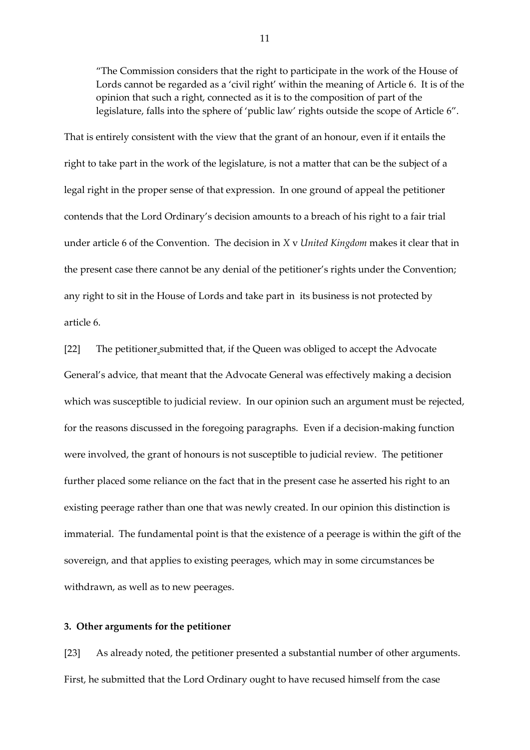"The Commission considers that the right to participate in the work of the House of Lords cannot be regarded as a 'civil right' within the meaning of Article 6. It is of the opinion that such a right, connected as it is to the composition of part of the legislature, falls into the sphere of 'public law' rights outside the scope of Article 6".

That is entirely consistent with the view that the grant of an honour, even if it entails the right to take part in the work of the legislature, is not a matter that can be the subject of a legal right in the proper sense of that expression. In one ground of appeal the petitioner contends that the Lord Ordinary's decision amounts to a breach of his right to a fair trial under article 6 of the Convention. The decision in *X* v *United Kingdom* makes it clear that in the present case there cannot be any denial of the petitioner's rights under the Convention; any right to sit in the House of Lords and take part in its business is not protected by article 6.

[22] The petitioner submitted that, if the Queen was obliged to accept the Advocate General's advice, that meant that the Advocate General was effectively making a decision which was susceptible to judicial review. In our opinion such an argument must be rejected, for the reasons discussed in the foregoing paragraphs. Even if a decision-making function were involved, the grant of honours is not susceptible to judicial review. The petitioner further placed some reliance on the fact that in the present case he asserted his right to an existing peerage rather than one that was newly created. In our opinion this distinction is immaterial. The fundamental point is that the existence of a peerage is within the gift of the sovereign, and that applies to existing peerages, which may in some circumstances be withdrawn, as well as to new peerages.

### **3. Other arguments for the petitioner**

[23] As already noted, the petitioner presented a substantial number of other arguments. First, he submitted that the Lord Ordinary ought to have recused himself from the case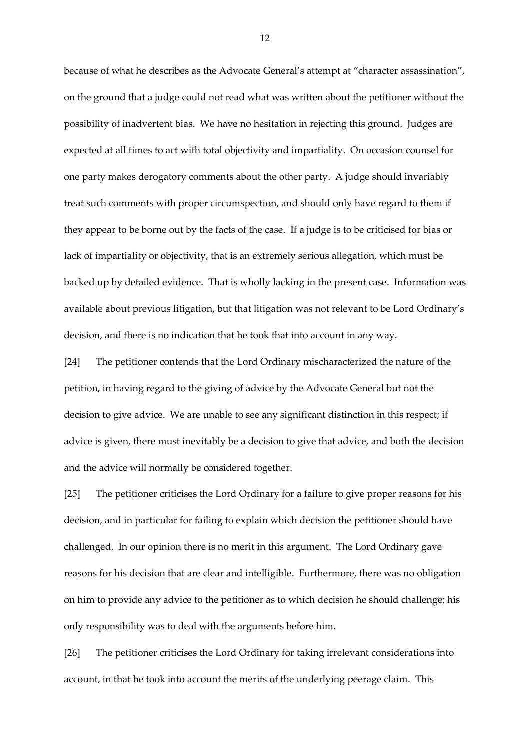because of what he describes as the Advocate General's attempt at "character assassination", on the ground that a judge could not read what was written about the petitioner without the possibility of inadvertent bias. We have no hesitation in rejecting this ground. Judges are expected at all times to act with total objectivity and impartiality. On occasion counsel for one party makes derogatory comments about the other party. A judge should invariably treat such comments with proper circumspection, and should only have regard to them if they appear to be borne out by the facts of the case. If a judge is to be criticised for bias or lack of impartiality or objectivity, that is an extremely serious allegation, which must be backed up by detailed evidence. That is wholly lacking in the present case. Information was available about previous litigation, but that litigation was not relevant to be Lord Ordinary's decision, and there is no indication that he took that into account in any way.

[24] The petitioner contends that the Lord Ordinary mischaracterized the nature of the petition, in having regard to the giving of advice by the Advocate General but not the decision to give advice. We are unable to see any significant distinction in this respect; if advice is given, there must inevitably be a decision to give that advice, and both the decision and the advice will normally be considered together.

[25] The petitioner criticises the Lord Ordinary for a failure to give proper reasons for his decision, and in particular for failing to explain which decision the petitioner should have challenged. In our opinion there is no merit in this argument. The Lord Ordinary gave reasons for his decision that are clear and intelligible. Furthermore, there was no obligation on him to provide any advice to the petitioner as to which decision he should challenge; his only responsibility was to deal with the arguments before him.

[26] The petitioner criticises the Lord Ordinary for taking irrelevant considerations into account, in that he took into account the merits of the underlying peerage claim. This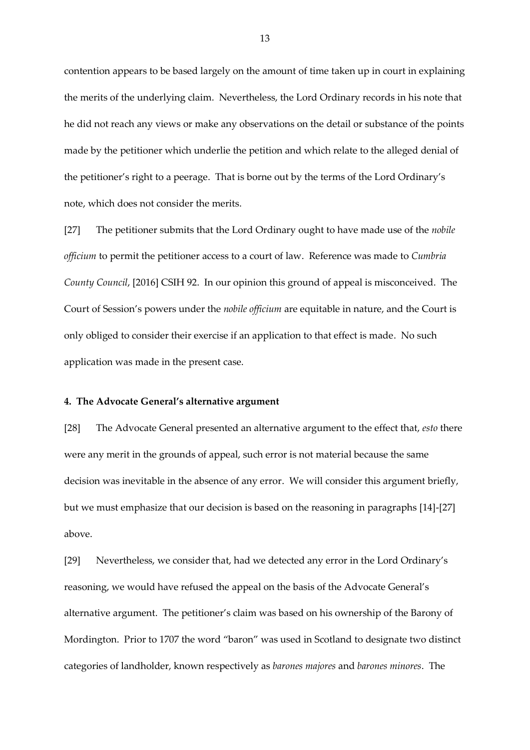contention appears to be based largely on the amount of time taken up in court in explaining the merits of the underlying claim. Nevertheless, the Lord Ordinary records in his note that he did not reach any views or make any observations on the detail or substance of the points made by the petitioner which underlie the petition and which relate to the alleged denial of the petitioner's right to a peerage. That is borne out by the terms of the Lord Ordinary's note, which does not consider the merits.

[27] The petitioner submits that the Lord Ordinary ought to have made use of the *nobile officium* to permit the petitioner access to a court of law. Reference was made to *Cumbria County Council*, [2016] CSIH 92. In our opinion this ground of appeal is misconceived. The Court of Session's powers under the *nobile officium* are equitable in nature, and the Court is only obliged to consider their exercise if an application to that effect is made. No such application was made in the present case.

#### **4. The Advocate General's alternative argument**

[28] The Advocate General presented an alternative argument to the effect that, *esto* there were any merit in the grounds of appeal, such error is not material because the same decision was inevitable in the absence of any error. We will consider this argument briefly, but we must emphasize that our decision is based on the reasoning in paragraphs [14]-[27] above.

[29] Nevertheless, we consider that, had we detected any error in the Lord Ordinary's reasoning, we would have refused the appeal on the basis of the Advocate General's alternative argument. The petitioner's claim was based on his ownership of the Barony of Mordington. Prior to 1707 the word "baron" was used in Scotland to designate two distinct categories of landholder, known respectively as *barones majores* and *barones minores*. The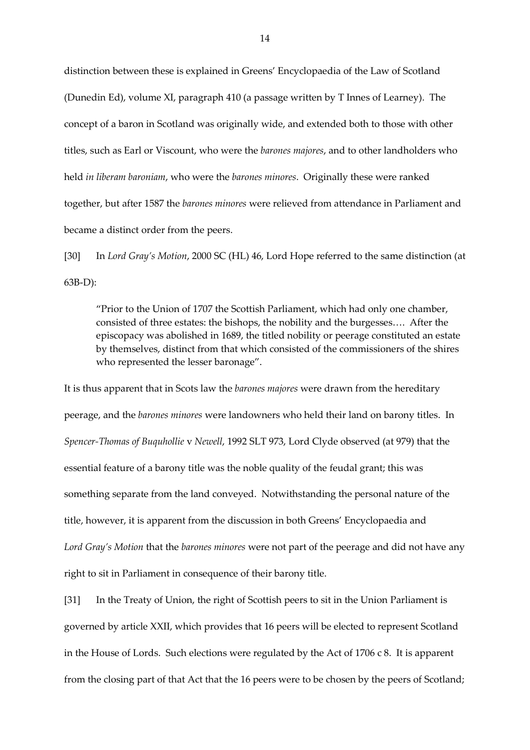distinction between these is explained in Greens' Encyclopaedia of the Law of Scotland (Dunedin Ed), volume XI, paragraph 410 (a passage written by T Innes of Learney). The concept of a baron in Scotland was originally wide, and extended both to those with other titles, such as Earl or Viscount, who were the *barones majores*, and to other landholders who held *in liberam baroniam*, who were the *barones minores*. Originally these were ranked together, but after 1587 the *barones minores* were relieved from attendance in Parliament and became a distinct order from the peers.

[30] In *Lord Gray's Motion*, 2000 SC (HL) 46, Lord Hope referred to the same distinction (at 63B-D):

"Prior to the Union of 1707 the Scottish Parliament, which had only one chamber, consisted of three estates: the bishops, the nobility and the burgesses…. After the episcopacy was abolished in 1689, the titled nobility or peerage constituted an estate by themselves, distinct from that which consisted of the commissioners of the shires who represented the lesser baronage".

It is thus apparent that in Scots law the *barones majores* were drawn from the hereditary peerage, and the *barones minores* were landowners who held their land on barony titles. In *Spencer-Thomas of Buquhollie* v *Newell*, 1992 SLT 973, Lord Clyde observed (at 979) that the essential feature of a barony title was the noble quality of the feudal grant; this was something separate from the land conveyed. Notwithstanding the personal nature of the title, however, it is apparent from the discussion in both Greens' Encyclopaedia and *Lord Gray's Motion* that the *barones minores* were not part of the peerage and did not have any right to sit in Parliament in consequence of their barony title.

[31] In the Treaty of Union, the right of Scottish peers to sit in the Union Parliament is governed by article XXII, which provides that 16 peers will be elected to represent Scotland in the House of Lords. Such elections were regulated by the Act of 1706 c 8. It is apparent from the closing part of that Act that the 16 peers were to be chosen by the peers of Scotland;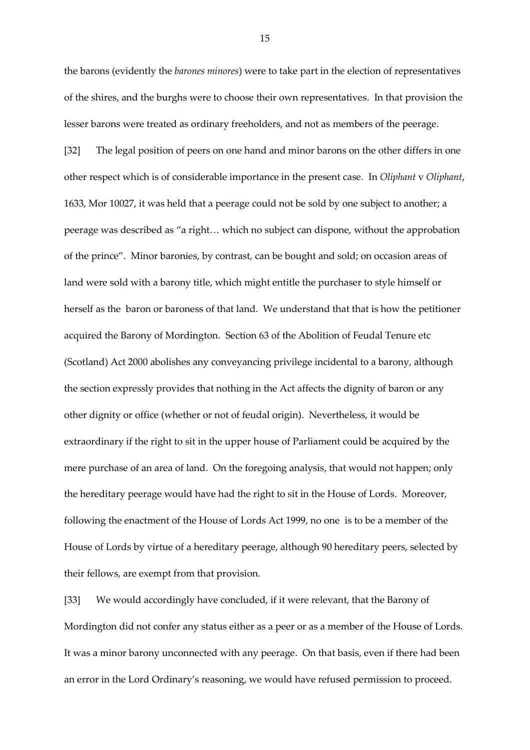the barons (evidently the *barones minores*) were to take part in the election of representatives of the shires, and the burghs were to choose their own representatives. In that provision the lesser barons were treated as ordinary freeholders, and not as members of the peerage.

[32] The legal position of peers on one hand and minor barons on the other differs in one other respect which is of considerable importance in the present case. In *Oliphant* v *Oliphant*, 1633, Mor 10027, it was held that a peerage could not be sold by one subject to another; a peerage was described as "a right… which no subject can dispone, without the approbation of the prince". Minor baronies, by contrast, can be bought and sold; on occasion areas of land were sold with a barony title, which might entitle the purchaser to style himself or herself as the baron or baroness of that land. We understand that that is how the petitioner acquired the Barony of Mordington. Section 63 of the Abolition of Feudal Tenure etc (Scotland) Act 2000 abolishes any conveyancing privilege incidental to a barony, although the section expressly provides that nothing in the Act affects the dignity of baron or any other dignity or office (whether or not of feudal origin). Nevertheless, it would be extraordinary if the right to sit in the upper house of Parliament could be acquired by the mere purchase of an area of land. On the foregoing analysis, that would not happen; only the hereditary peerage would have had the right to sit in the House of Lords. Moreover, following the enactment of the House of Lords Act 1999, no one is to be a member of the House of Lords by virtue of a hereditary peerage, although 90 hereditary peers, selected by their fellows, are exempt from that provision.

[33] We would accordingly have concluded, if it were relevant, that the Barony of Mordington did not confer any status either as a peer or as a member of the House of Lords. It was a minor barony unconnected with any peerage. On that basis, even if there had been an error in the Lord Ordinary's reasoning, we would have refused permission to proceed.